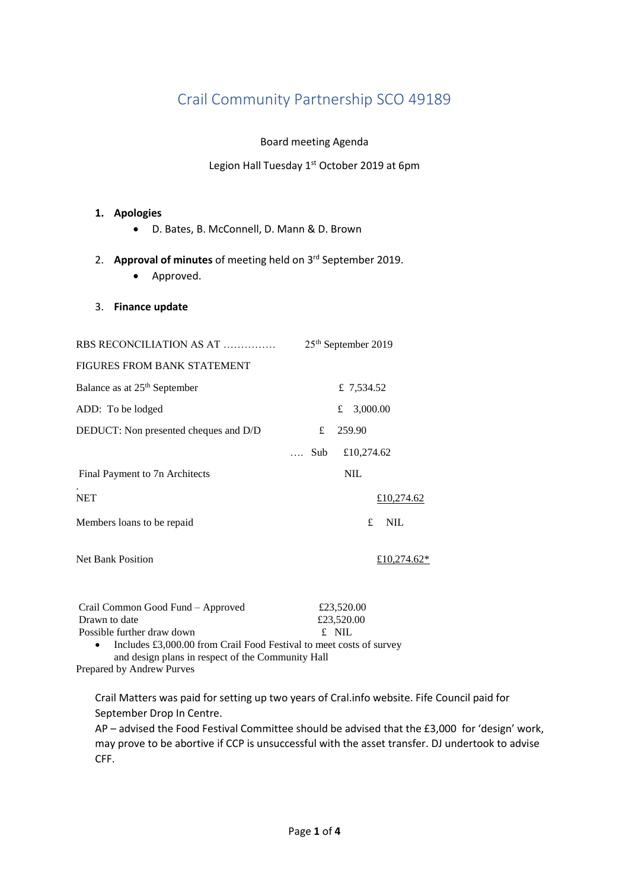## Crail Community Partnership SCO 49189

Board meeting Agenda

Legion Hall Tuesday 1<sup>st</sup> October 2019 at 6pm

### **1. Apologies**

- D. Bates, B. McConnell, D. Mann & D. Brown
- 2. **Approval of minutes** of meeting held on 3 rd September 2019.
	- Approved.

#### 3. **Finance update**

| RBS RECONCILIATION AS AT                 | 25 <sup>th</sup> September 2019 |
|------------------------------------------|---------------------------------|
| FIGURES FROM BANK STATEMENT              |                                 |
| Balance as at 25 <sup>th</sup> September | £ 7,534.52                      |
| ADD: To be lodged                        | 3,000.00<br>£                   |
| DEDUCT: Non presented cheques and D/D    | 259.90<br>£                     |
|                                          | £10,274.62<br>$\dots$ Sub       |
| Final Payment to 7n Architects           | <b>NIL</b>                      |
| <b>NET</b>                               | £10,274.62                      |
| Members loans to be repaid               | £<br><b>NIL</b>                 |
| <b>Net Bank Position</b>                 | £10.274.62*                     |

| Crail Common Good Fund – Approved                                   | £23,520.00 |
|---------------------------------------------------------------------|------------|
| Drawn to date                                                       | £23,520.00 |
| Possible further draw down                                          | £ NIL      |
| Includes £3,000.00 from Crail Food Festival to meet costs of survey |            |
| and design plans in respect of the Community Hall                   |            |

Prepared by Andrew Purves

Crail Matters was paid for setting up two years of Cral.info website. Fife Council paid for September Drop In Centre.

AP – advised the Food Festival Committee should be advised that the £3,000 for 'design' work, may prove to be abortive if CCP is unsuccessful with the asset transfer. DJ undertook to advise CFF.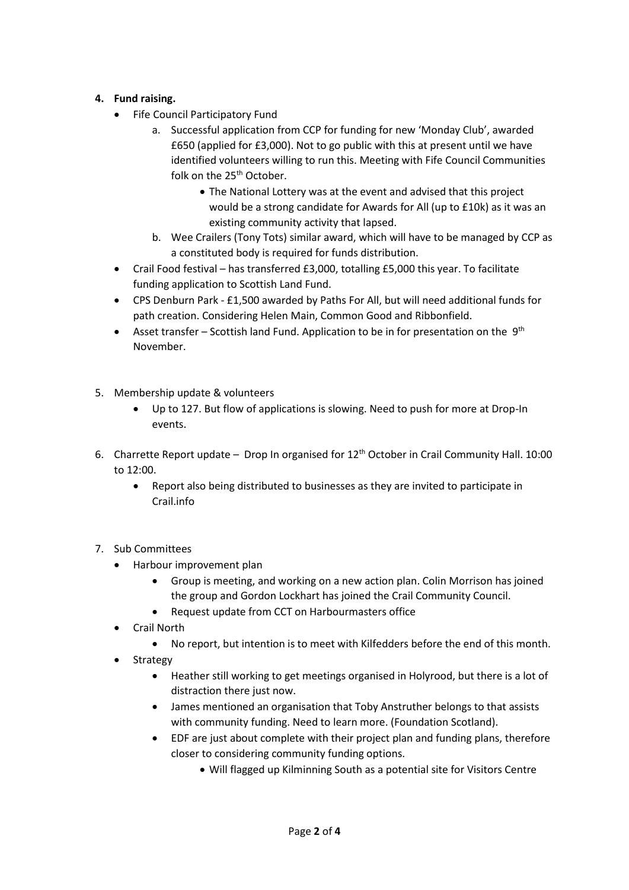### **4. Fund raising.**

- Fife Council Participatory Fund
	- a. Successful application from CCP for funding for new 'Monday Club', awarded £650 (applied for £3,000). Not to go public with this at present until we have identified volunteers willing to run this. Meeting with Fife Council Communities folk on the 25<sup>th</sup> October.
		- The National Lottery was at the event and advised that this project would be a strong candidate for Awards for All (up to £10k) as it was an existing community activity that lapsed.
	- b. Wee Crailers (Tony Tots) similar award, which will have to be managed by CCP as a constituted body is required for funds distribution.
- Crail Food festival has transferred £3,000, totalling £5,000 this year. To facilitate funding application to Scottish Land Fund.
- CPS Denburn Park £1,500 awarded by Paths For All, but will need additional funds for path creation. Considering Helen Main, Common Good and Ribbonfield.
- Asset transfer Scottish land Fund. Application to be in for presentation on the  $9<sup>th</sup>$ November.
- 5. Membership update & volunteers
	- Up to 127. But flow of applications is slowing. Need to push for more at Drop-In events.
- 6. Charrette Report update Drop In organised for  $12<sup>th</sup>$  October in Crail Community Hall. 10:00 to 12:00.
	- Report also being distributed to businesses as they are invited to participate in Crail.info
- 7. Sub Committees
	- Harbour improvement plan
		- Group is meeting, and working on a new action plan. Colin Morrison has joined the group and Gordon Lockhart has joined the Crail Community Council.
		- Request update from CCT on Harbourmasters office
	- Crail North
		- No report, but intention is to meet with Kilfedders before the end of this month.
		- Strategy
			- Heather still working to get meetings organised in Holyrood, but there is a lot of distraction there just now.
			- James mentioned an organisation that Toby Anstruther belongs to that assists with community funding. Need to learn more. (Foundation Scotland).
			- EDF are just about complete with their project plan and funding plans, therefore closer to considering community funding options.
				- Will flagged up Kilminning South as a potential site for Visitors Centre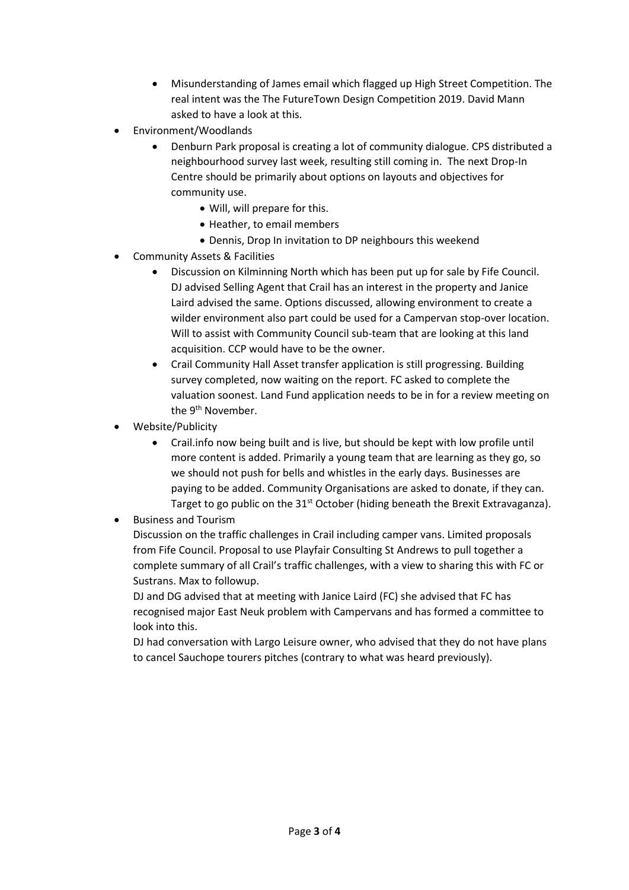- Misunderstanding of James email which flagged up High Street Competition. The real intent was the The FutureTown Design Competition 2019. David Mann asked to have a look at this.
- Environment/Woodlands
	- Denburn Park proposal is creating a lot of community dialogue. CPS distributed a neighbourhood survey last week, resulting still coming in. The next Drop-In Centre should be primarily about options on layouts and objectives for community use.
		- Will, will prepare for this.
		- Heather, to email members
		- Dennis, Drop In invitation to DP neighbours this weekend
- Community Assets & Facilities
	- Discussion on Kilminning North which has been put up for sale by Fife Council. DJ advised Selling Agent that Crail has an interest in the property and Janice Laird advised the same. Options discussed, allowing environment to create a wilder environment also part could be used for a Campervan stop-over location. Will to assist with Community Council sub-team that are looking at this land acquisition. CCP would have to be the owner.
	- Crail Community Hall Asset transfer application is still progressing. Building survey completed, now waiting on the report. FC asked to complete the valuation soonest. Land Fund application needs to be in for a review meeting on the 9<sup>th</sup> November.
- Website/Publicity
	- Crail.info now being built and is live, but should be kept with low profile until more content is added. Primarily a young team that are learning as they go, so we should not push for bells and whistles in the early days. Businesses are paying to be added. Community Organisations are asked to donate, if they can. Target to go public on the  $31<sup>st</sup>$  October (hiding beneath the Brexit Extravaganza).

Business and Tourism

Discussion on the traffic challenges in Crail including camper vans. Limited proposals from Fife Council. Proposal to use Playfair Consulting St Andrews to pull together a complete summary of all Crail's traffic challenges, with a view to sharing this with FC or Sustrans. Max to followup.

DJ and DG advised that at meeting with Janice Laird (FC) she advised that FC has recognised major East Neuk problem with Campervans and has formed a committee to look into this.

DJ had conversation with Largo Leisure owner, who advised that they do not have plans to cancel Sauchope tourers pitches (contrary to what was heard previously).